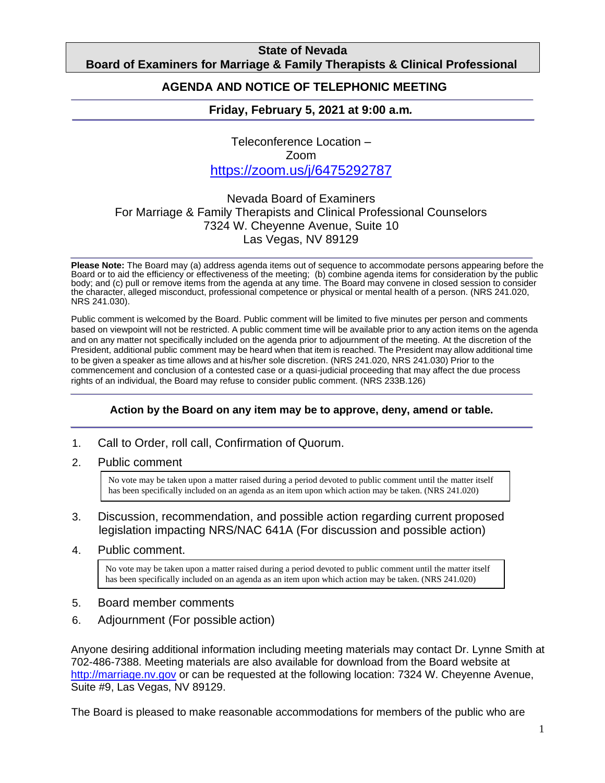### **State of Nevada Board of Examiners for Marriage & Family Therapists & Clinical Professional**

#### **Counting AGENDA AND NOTICE OF TELEPHONIC MEETING**

## **Friday, February 5, 2021 at 9:00 a.m***.*

Teleconference Location – Zoom https://zoom.us/j/6475292787

## Nevada Board of Examiners For Marriage & Family Therapists and Clinical Professional Counselors 7324 W. Cheyenne Avenue, Suite 10 Las Vegas, NV 89129

**Please Note:** The Board may (a) address agenda items out of sequence to accommodate persons appearing before the Board or to aid the efficiency or effectiveness of the meeting; (b) combine agenda items for consideration by the public body; and (c) pull or remove items from the agenda at any time. The Board may convene in closed session to consider the character, alleged misconduct, professional competence or physical or mental health of a person. (NRS 241.020, NRS 241.030).

Public comment is welcomed by the Board. Public comment will be limited to five minutes per person and comments based on viewpoint will not be restricted. A public comment time will be available prior to any action items on the agenda and on any matter not specifically included on the agenda prior to adjournment of the meeting. At the discretion of the President, additional public comment may be heard when that item is reached. The President may allow additional time to be given a speaker as time allows and at his/her sole discretion. (NRS 241.020, NRS 241.030) Prior to the commencement and conclusion of a contested case or a quasi-judicial proceeding that may affect the due process rights of an individual, the Board may refuse to consider public comment. (NRS 233B.126)

#### **Action by the Board on any item may be to approve, deny, amend or table.**

- 1. Call to Order, roll call, Confirmation of Quorum.
- 2. Public comment

No vote may be taken upon a matter raised during a period devoted to public comment until the matter itself has been specifically included on an agenda as an item upon which action may be taken. (NRS 241.020)

- 3. Discussion, recommendation, and possible action regarding current proposed legislation impacting NRS/NAC 641A (For discussion and possible action)
- 4. Public comment.

No vote may be taken upon a matter raised during a period devoted to public comment until the matter itself has been specifically included on an agenda as an item upon which action may be taken. (NRS 241.020)

- 5. Board member comments
- 6. Adjournment (For possible action)

Anyone desiring additional information including meeting materials may contact Dr. Lynne Smith at 702-486-7388. Meeting materials are also available for download from the Board website at http://marriage.nv.gov or can be requested at the following location: 7324 W. Cheyenne Avenue, Suite #9, Las Vegas, NV 89129.

The Board is pleased to make reasonable accommodations for members of the public who are